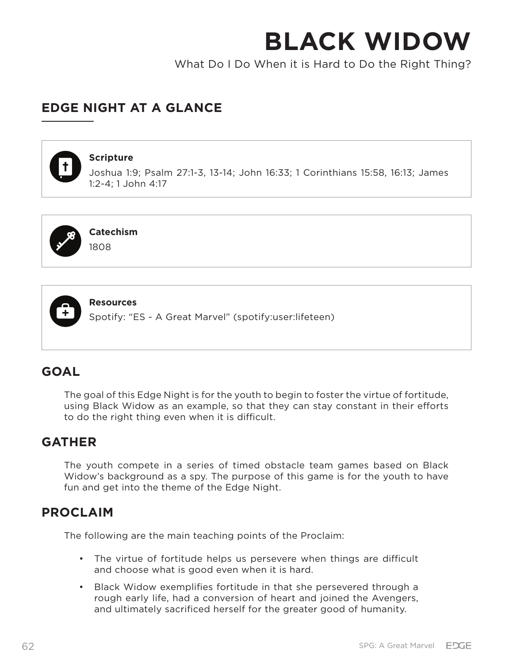What Do I Do When it is Hard to Do the Right Thing?

# **EDGE NIGHT AT A GLANCE**



## **Scripture**

Joshua 1:9; Psalm 27:1-3, 13-14; John 16:33; 1 Corinthians 15:58, 16:13; James 1:2-4; 1 John 4:17



**Catechism**

1808



**Resources**

Spotify: "ES - A Great Marvel" (spotify:user:lifeteen)

# **GOAL**

The goal of this Edge Night is for the youth to begin to foster the virtue of fortitude, using Black Widow as an example, so that they can stay constant in their efforts to do the right thing even when it is difficult.

# **GATHER**

The youth compete in a series of timed obstacle team games based on Black Widow's background as a spy. The purpose of this game is for the youth to have fun and get into the theme of the Edge Night.

## **PROCLAIM**

The following are the main teaching points of the Proclaim:

- The virtue of fortitude helps us persevere when things are difficult and choose what is good even when it is hard.
- Black Widow exemplifies fortitude in that she persevered through a rough early life, had a conversion of heart and joined the Avengers, and ultimately sacrificed herself for the greater good of humanity.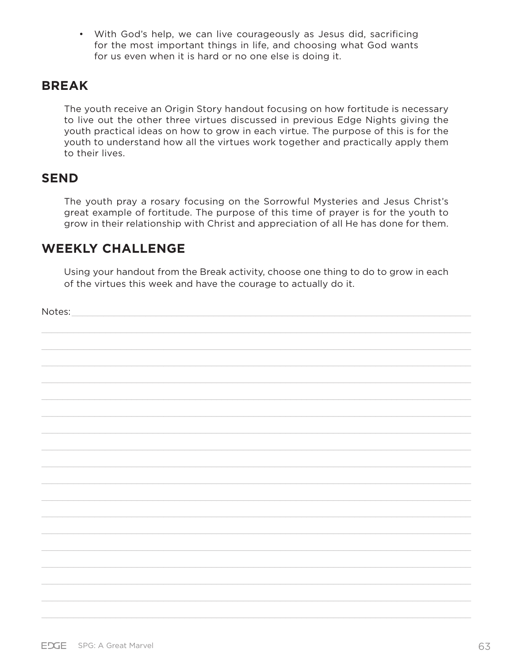• With God's help, we can live courageously as Jesus did, sacrificing for the most important things in life, and choosing what God wants for us even when it is hard or no one else is doing it.

## **BREAK**

The youth receive an Origin Story handout focusing on how fortitude is necessary to live out the other three virtues discussed in previous Edge Nights giving the youth practical ideas on how to grow in each virtue. The purpose of this is for the youth to understand how all the virtues work together and practically apply them to their lives.

## **SEND**

The youth pray a rosary focusing on the Sorrowful Mysteries and Jesus Christ's great example of fortitude. The purpose of this time of prayer is for the youth to grow in their relationship with Christ and appreciation of all He has done for them.

# **WEEKLY CHALLENGE**

Using your handout from the Break activity, choose one thing to do to grow in each of the virtues this week and have the courage to actually do it.

Notes: \_\_\_\_\_\_\_\_\_\_\_\_\_\_\_\_\_\_\_\_\_\_\_\_\_\_\_\_\_\_\_\_\_\_\_\_\_\_\_\_\_\_\_\_\_\_\_\_\_\_\_\_\_\_\_\_\_\_\_\_\_\_\_\_\_\_\_\_\_\_\_\_\_\_\_\_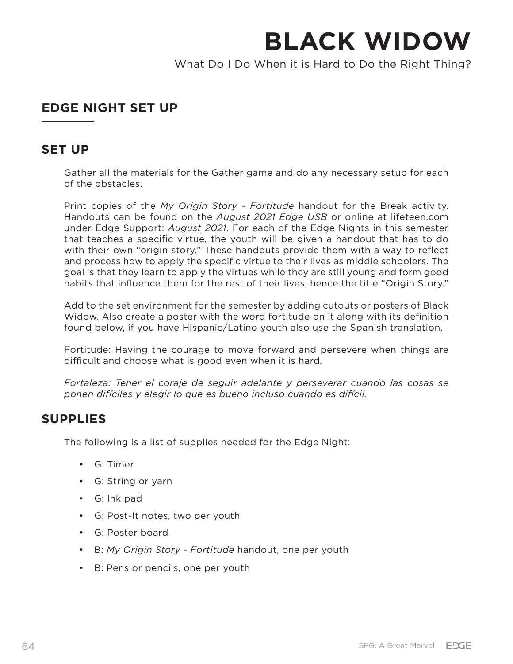What Do I Do When it is Hard to Do the Right Thing?

# **EDGE NIGHT SET UP**

## **SET UP**

Gather all the materials for the Gather game and do any necessary setup for each of the obstacles.

Print copies of the *My Origin Story - Fortitude* handout for the Break activity. Handouts can be found on the *August 2021 Edge USB* or online at lifeteen.com under Edge Support: *August 2021*. For each of the Edge Nights in this semester that teaches a specific virtue, the youth will be given a handout that has to do with their own "origin story." These handouts provide them with a way to reflect and process how to apply the specific virtue to their lives as middle schoolers. The goal is that they learn to apply the virtues while they are still young and form good habits that influence them for the rest of their lives, hence the title "Origin Story."

Add to the set environment for the semester by adding cutouts or posters of Black Widow. Also create a poster with the word fortitude on it along with its definition found below, if you have Hispanic/Latino youth also use the Spanish translation.

Fortitude: Having the courage to move forward and persevere when things are difficult and choose what is good even when it is hard.

*Fortaleza: Tener el coraje de seguir adelante y perseverar cuando las cosas se ponen difíciles y elegir lo que es bueno incluso cuando es difícil.*

## **SUPPLIES**

The following is a list of supplies needed for the Edge Night:

- G: Timer
- G: String or yarn
- G: Ink pad
- G: Post-It notes, two per youth
- G: Poster board
- B: *My Origin Story Fortitude* handout, one per youth
- B: Pens or pencils, one per youth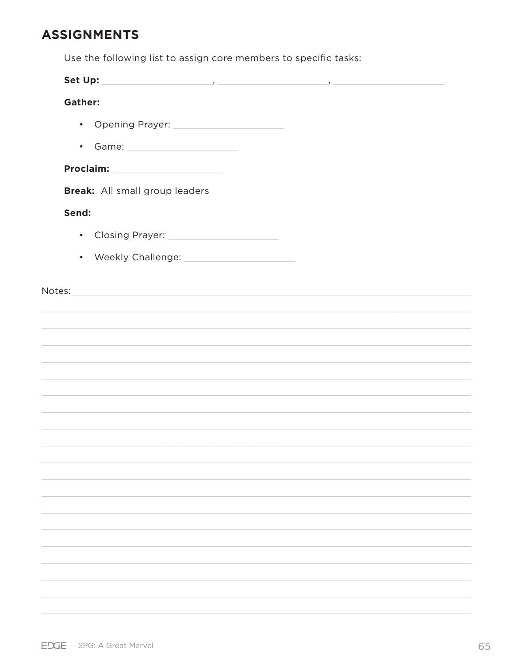# **ASSIGNMENTS**

Use the following list to assign core members to specific tasks:

| <b>Gather:</b> |                                                                                                                                                                                                                                |
|----------------|--------------------------------------------------------------------------------------------------------------------------------------------------------------------------------------------------------------------------------|
|                | • Opening Prayer: 2000 2000 2011 2022 2023 2024 2025 2022 2023 2024 2025 2026 2027 2028 2029 2020 20                                                                                                                           |
|                |                                                                                                                                                                                                                                |
|                |                                                                                                                                                                                                                                |
|                | Break: All small group leaders                                                                                                                                                                                                 |
| Send:          |                                                                                                                                                                                                                                |
|                | • Closing Prayer: 2008 2014 2015 2020 2021 2021 2022 2021 2022 2021 2022 2021 2022 2023 2024 2022 20                                                                                                                           |
|                |                                                                                                                                                                                                                                |
|                |                                                                                                                                                                                                                                |
|                | Notes: Notes: Notes: Notes: Notes: Notes: Notes: Notes: Notes: Notes: Notes: Notes: Notes: Notes: Notes: Notes: Notes: Notes: Notes: Notes: Notes: Notes: Notes: Notes: Notes: Notes: Notes: Notes: Notes: Notes: Notes: Notes |
|                |                                                                                                                                                                                                                                |
|                |                                                                                                                                                                                                                                |
|                | ,我们也不会有什么。""我们的人,我们也不会有什么?""我们的人,我们也不会有什么?""我们的人,我们的人,我们的人,我们的人,我们的人,我们的人,我们的人,我                                                                                                                                               |
|                |                                                                                                                                                                                                                                |
|                |                                                                                                                                                                                                                                |
|                |                                                                                                                                                                                                                                |
|                |                                                                                                                                                                                                                                |
|                |                                                                                                                                                                                                                                |
|                |                                                                                                                                                                                                                                |
|                |                                                                                                                                                                                                                                |
|                |                                                                                                                                                                                                                                |
|                |                                                                                                                                                                                                                                |
|                |                                                                                                                                                                                                                                |
|                |                                                                                                                                                                                                                                |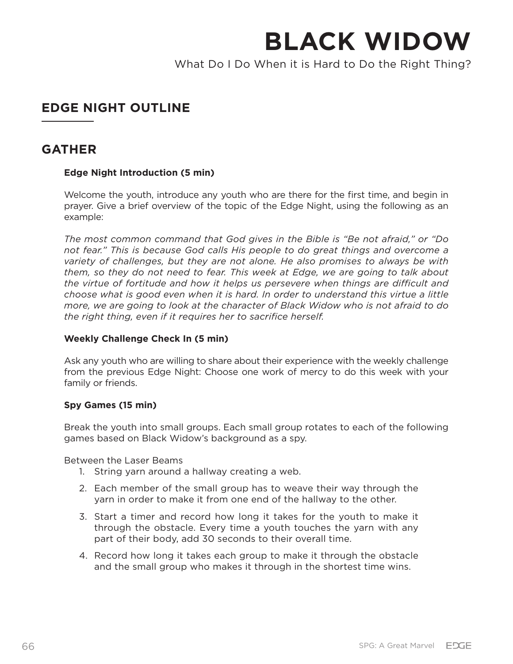What Do I Do When it is Hard to Do the Right Thing?

# **EDGE NIGHT OUTLINE**

## **GATHER**

## **Edge Night Introduction (5 min)**

Welcome the youth, introduce any youth who are there for the first time, and begin in prayer. Give a brief overview of the topic of the Edge Night, using the following as an example:

*The most common command that God gives in the Bible is "Be not afraid," or "Do not fear." This is because God calls His people to do great things and overcome a variety of challenges, but they are not alone. He also promises to always be with them, so they do not need to fear. This week at Edge, we are going to talk about the virtue of fortitude and how it helps us persevere when things are difficult and choose what is good even when it is hard. In order to understand this virtue a little more, we are going to look at the character of Black Widow who is not afraid to do the right thing, even if it requires her to sacrifice herself.*

## **Weekly Challenge Check In (5 min)**

Ask any youth who are willing to share about their experience with the weekly challenge from the previous Edge Night: Choose one work of mercy to do this week with your family or friends.

## **Spy Games (15 min)**

Break the youth into small groups. Each small group rotates to each of the following games based on Black Widow's background as a spy.

Between the Laser Beams

- 1. String yarn around a hallway creating a web.
- 2. Each member of the small group has to weave their way through the yarn in order to make it from one end of the hallway to the other.
- 3. Start a timer and record how long it takes for the youth to make it through the obstacle. Every time a youth touches the yarn with any part of their body, add 30 seconds to their overall time.
- 4. Record how long it takes each group to make it through the obstacle and the small group who makes it through in the shortest time wins.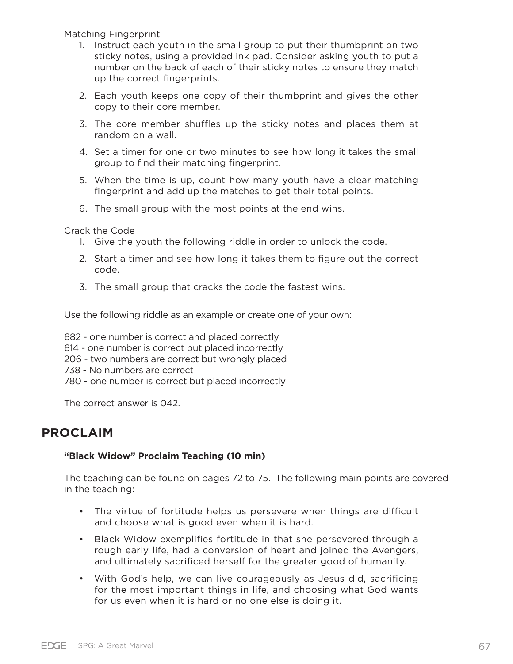Matching Fingerprint

- 1. Instruct each youth in the small group to put their thumbprint on two sticky notes, using a provided ink pad. Consider asking youth to put a number on the back of each of their sticky notes to ensure they match up the correct fingerprints.
- 2. Each youth keeps one copy of their thumbprint and gives the other copy to their core member.
- 3. The core member shuffles up the sticky notes and places them at random on a wall.
- 4. Set a timer for one or two minutes to see how long it takes the small group to find their matching fingerprint.
- 5. When the time is up, count how many youth have a clear matching fingerprint and add up the matches to get their total points.
- 6. The small group with the most points at the end wins.

Crack the Code

- 1. Give the youth the following riddle in order to unlock the code.
- 2. Start a timer and see how long it takes them to figure out the correct code.
- 3. The small group that cracks the code the fastest wins.

Use the following riddle as an example or create one of your own:

682 - one number is correct and placed correctly

614 - one number is correct but placed incorrectly

206 - two numbers are correct but wrongly placed

738 - No numbers are correct

780 - one number is correct but placed incorrectly

The correct answer is 042.

## **PROCLAIM**

## **"Black Widow" Proclaim Teaching (10 min)**

The teaching can be found on pages 72 to 75. The following main points are covered in the teaching:

- The virtue of fortitude helps us persevere when things are difficult and choose what is good even when it is hard.
- Black Widow exemplifies fortitude in that she persevered through a rough early life, had a conversion of heart and joined the Avengers, and ultimately sacrificed herself for the greater good of humanity.
- With God's help, we can live courageously as Jesus did, sacrificing for the most important things in life, and choosing what God wants for us even when it is hard or no one else is doing it.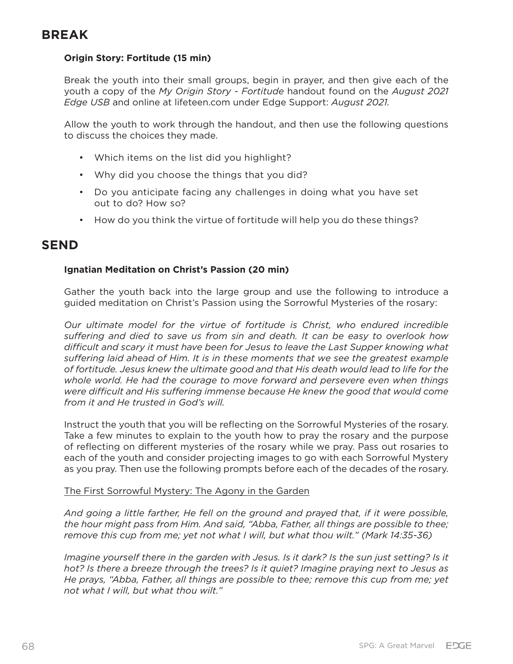# **BREAK**

## **Origin Story: Fortitude (15 min)**

Break the youth into their small groups, begin in prayer, and then give each of the youth a copy of the *My Origin Story - Fortitude* handout found on the *August 2021 Edge USB* and online at lifeteen.com under Edge Support: *August 2021.* 

Allow the youth to work through the handout, and then use the following questions to discuss the choices they made.

- Which items on the list did you highlight?
- Why did you choose the things that you did?
- Do you anticipate facing any challenges in doing what you have set out to do? How so?
- How do you think the virtue of fortitude will help you do these things?

## **SEND**

## **Ignatian Meditation on Christ's Passion (20 min)**

Gather the youth back into the large group and use the following to introduce a guided meditation on Christ's Passion using the Sorrowful Mysteries of the rosary:

*Our ultimate model for the virtue of fortitude is Christ, who endured incredible suffering and died to save us from sin and death. It can be easy to overlook how difficult and scary it must have been for Jesus to leave the Last Supper knowing what suffering laid ahead of Him. It is in these moments that we see the greatest example of fortitude. Jesus knew the ultimate good and that His death would lead to life for the whole world. He had the courage to move forward and persevere even when things were difficult and His suffering immense because He knew the good that would come from it and He trusted in God's will.* 

Instruct the youth that you will be reflecting on the Sorrowful Mysteries of the rosary. Take a few minutes to explain to the youth how to pray the rosary and the purpose of reflecting on different mysteries of the rosary while we pray. Pass out rosaries to each of the youth and consider projecting images to go with each Sorrowful Mystery as you pray. Then use the following prompts before each of the decades of the rosary.

## The First Sorrowful Mystery: The Agony in the Garden

*And going a little farther, He fell on the ground and prayed that, if it were possible, the hour might pass from Him. And said, "Abba, Father, all things are possible to thee; remove this cup from me; yet not what I will, but what thou wilt." (Mark 14:35-36)*

*Imagine yourself there in the garden with Jesus. Is it dark? Is the sun just setting? Is it hot? Is there a breeze through the trees? Is it quiet? Imagine praying next to Jesus as He prays, "Abba, Father, all things are possible to thee; remove this cup from me; yet not what I will, but what thou wilt."*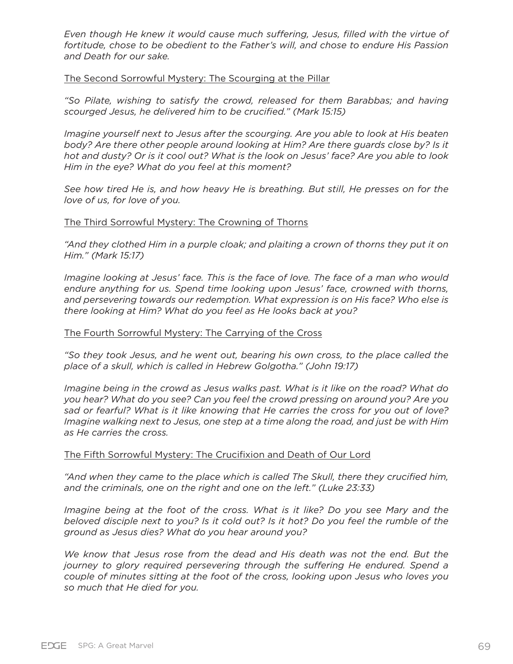*Even though He knew it would cause much suffering, Jesus, filled with the virtue of fortitude, chose to be obedient to the Father's will, and chose to endure His Passion and Death for our sake.*

### The Second Sorrowful Mystery: The Scourging at the Pillar

*"So Pilate, wishing to satisfy the crowd, released for them Barabbas; and having scourged Jesus, he delivered him to be crucified." (Mark 15:15)*

*Imagine yourself next to Jesus after the scourging. Are you able to look at His beaten body? Are there other people around looking at Him? Are there guards close by? Is it hot and dusty? Or is it cool out? What is the look on Jesus' face? Are you able to look Him in the eye? What do you feel at this moment?* 

*See how tired He is, and how heavy He is breathing. But still, He presses on for the love of us, for love of you.* 

#### The Third Sorrowful Mystery: The Crowning of Thorns

"And they clothed Him in a purple cloak; and plaiting a crown of thorns they put it on *Him." (Mark 15:17)*

*Imagine looking at Jesus' face. This is the face of love. The face of a man who would endure anything for us. Spend time looking upon Jesus' face, crowned with thorns, and persevering towards our redemption. What expression is on His face? Who else is there looking at Him? What do you feel as He looks back at you?*

#### The Fourth Sorrowful Mystery: The Carrying of the Cross

*"So they took Jesus, and he went out, bearing his own cross, to the place called the place of a skull, which is called in Hebrew Golgotha." (John 19:17)*

*Imagine being in the crowd as Jesus walks past. What is it like on the road? What do you hear? What do you see? Can you feel the crowd pressing on around you? Are you sad or fearful? What is it like knowing that He carries the cross for you out of love? Imagine walking next to Jesus, one step at a time along the road, and just be with Him as He carries the cross.* 

#### The Fifth Sorrowful Mystery: The Crucifixion and Death of Our Lord

"And when they came to the place which is called The Skull, there they crucified him, *and the criminals, one on the right and one on the left." (Luke 23:33)*

*Imagine being at the foot of the cross. What is it like? Do you see Mary and the beloved disciple next to you? Is it cold out? Is it hot? Do you feel the rumble of the ground as Jesus dies? What do you hear around you?* 

*We know that Jesus rose from the dead and His death was not the end. But the journey to glory required persevering through the suffering He endured. Spend a couple of minutes sitting at the foot of the cross, looking upon Jesus who loves you so much that He died for you.*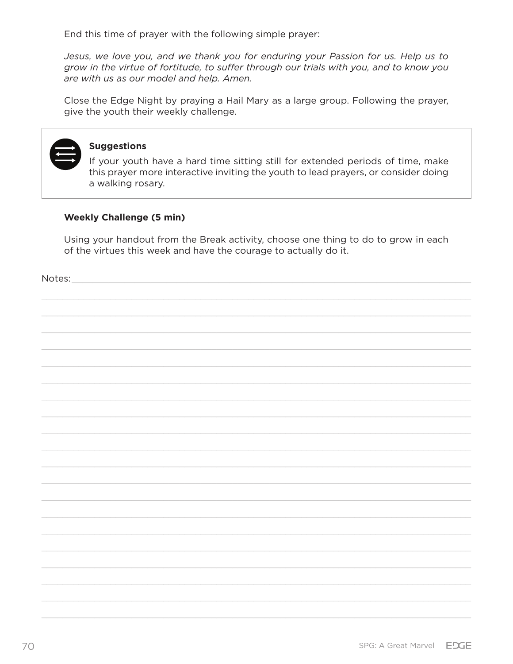End this time of prayer with the following simple prayer:

Jesus, we love you, and we thank you for enduring your Passion for us. Help us to grow in the virtue of fortitude, to suffer through our trials with you, and to know you are with us as our model and help. Amen.

Close the Edge Night by praying a Hail Mary as a large group. Following the prayer, give the youth their weekly challenge.

### **Suggestions**

If your youth have a hard time sitting still for extended periods of time, make this prayer more interactive inviting the youth to lead prayers, or consider doing a walking rosary.

#### **Weekly Challenge (5 min)**

Using your handout from the Break activity, choose one thing to do to grow in each of the virtues this week and have the courage to actually do it.

Notes: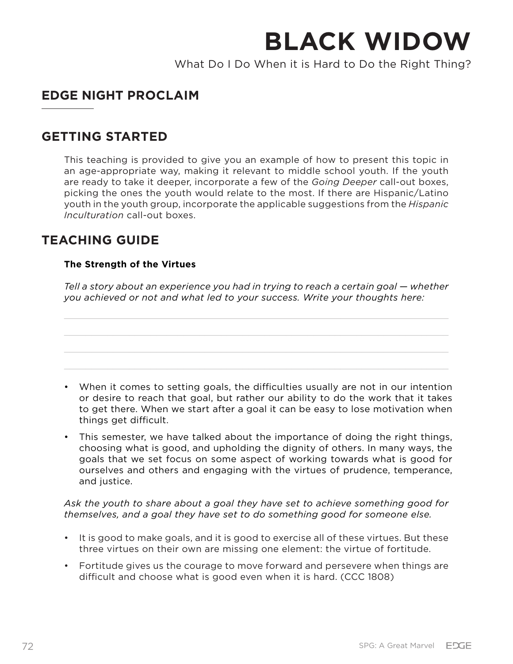What Do I Do When it is Hard to Do the Right Thing?

# **EDGE NIGHT PROCLAIM**

## **GETTING STARTED**

This teaching is provided to give you an example of how to present this topic in an age-appropriate way, making it relevant to middle school youth. If the youth are ready to take it deeper, incorporate a few of the *Going Deeper* call-out boxes, picking the ones the youth would relate to the most. If there are Hispanic/Latino youth in the youth group, incorporate the applicable suggestions from the *Hispanic Inculturation* call-out boxes.

# **TEACHING GUIDE**

## **The Strength of the Virtues**

*Tell a story about an experience you had in trying to reach a certain goal — whether you achieved or not and what led to your success. Write your thoughts here:*



• This semester, we have talked about the importance of doing the right things, choosing what is good, and upholding the dignity of others. In many ways, the goals that we set focus on some aspect of working towards what is good for ourselves and others and engaging with the virtues of prudence, temperance, and justice.

*Ask the youth to share about a goal they have set to achieve something good for themselves, and a goal they have set to do something good for someone else.* 

- It is good to make goals, and it is good to exercise all of these virtues. But these three virtues on their own are missing one element: the virtue of fortitude.
- Fortitude gives us the courage to move forward and persevere when things are difficult and choose what is good even when it is hard. (CCC 1808)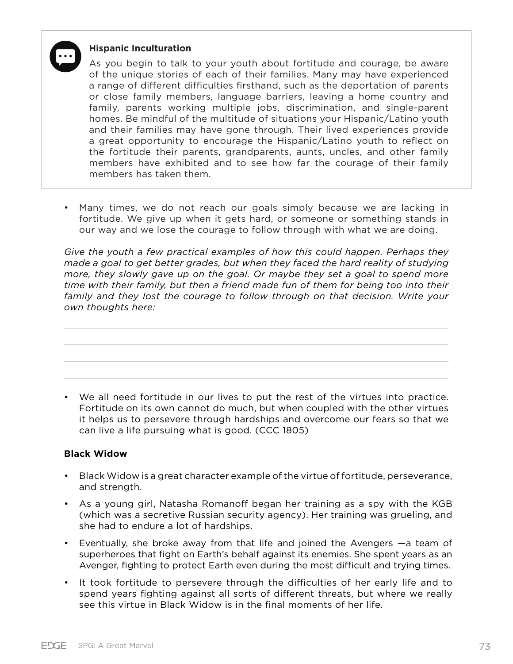

### **Hispanic Inculturation**

As you begin to talk to your youth about fortitude and courage, be aware of the unique stories of each of their families. Many may have experienced a range of different difficulties firsthand, such as the deportation of parents or close family members, language barriers, leaving a home country and family, parents working multiple jobs, discrimination, and single-parent homes. Be mindful of the multitude of situations your Hispanic/Latino youth and their families may have gone through. Their lived experiences provide a great opportunity to encourage the Hispanic/Latino youth to reflect on the fortitude their parents, grandparents, aunts, uncles, and other family members have exhibited and to see how far the courage of their family members has taken them.

• Many times, we do not reach our goals simply because we are lacking in fortitude. We give up when it gets hard, or someone or something stands in our way and we lose the courage to follow through with what we are doing.

*Give the youth a few practical examples of how this could happen. Perhaps they made a goal to get better grades, but when they faced the hard reality of studying more, they slowly gave up on the goal. Or maybe they set a goal to spend more time with their family, but then a friend made fun of them for being too into their family and they lost the courage to follow through on that decision. Write your own thoughts here:*

• We all need fortitude in our lives to put the rest of the virtues into practice. Fortitude on its own cannot do much, but when coupled with the other virtues it helps us to persevere through hardships and overcome our fears so that we can live a life pursuing what is good. (CCC 1805)

## **Black Widow**

- Black Widow is a great character example of the virtue of fortitude, perseverance, and strength.
- As a young girl, Natasha Romanoff began her training as a spy with the KGB (which was a secretive Russian security agency). Her training was grueling, and she had to endure a lot of hardships.
- Eventually, she broke away from that life and joined the Avengers —a team of superheroes that fight on Earth's behalf against its enemies. She spent years as an Avenger, fighting to protect Earth even during the most difficult and trying times.
- It took fortitude to persevere through the difficulties of her early life and to spend years fighting against all sorts of different threats, but where we really see this virtue in Black Widow is in the final moments of her life.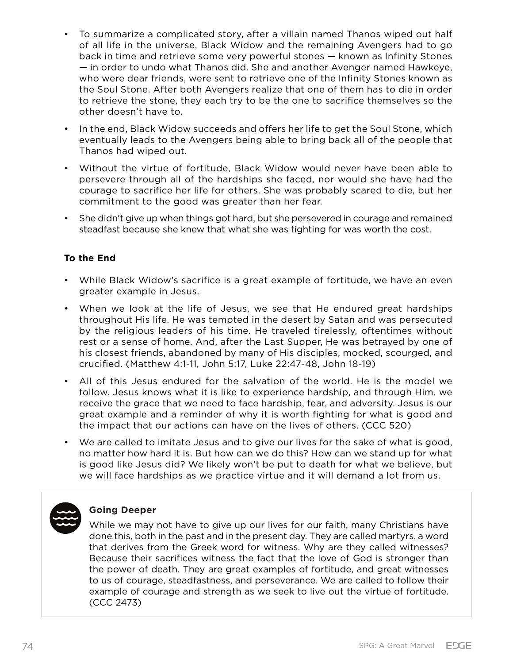- To summarize a complicated story, after a villain named Thanos wiped out half of all life in the universe, Black Widow and the remaining Avengers had to go back in time and retrieve some very powerful stones — known as Infinity Stones — in order to undo what Thanos did. She and another Avenger named Hawkeye, who were dear friends, were sent to retrieve one of the Infinity Stones known as the Soul Stone. After both Avengers realize that one of them has to die in order to retrieve the stone, they each try to be the one to sacrifice themselves so the other doesn't have to.
- In the end, Black Widow succeeds and offers her life to get the Soul Stone, which eventually leads to the Avengers being able to bring back all of the people that Thanos had wiped out.
- Without the virtue of fortitude, Black Widow would never have been able to persevere through all of the hardships she faced, nor would she have had the courage to sacrifice her life for others. She was probably scared to die, but her commitment to the good was greater than her fear.
- She didn't give up when things got hard, but she persevered in courage and remained steadfast because she knew that what she was fighting for was worth the cost.

## **To the End**

- While Black Widow's sacrifice is a great example of fortitude, we have an even greater example in Jesus.
- When we look at the life of Jesus, we see that He endured great hardships throughout His life. He was tempted in the desert by Satan and was persecuted by the religious leaders of his time. He traveled tirelessly, oftentimes without rest or a sense of home. And, after the Last Supper, He was betrayed by one of his closest friends, abandoned by many of His disciples, mocked, scourged, and crucified. (Matthew 4:1-11, John 5:17, Luke 22:47-48, John 18-19)
- All of this Jesus endured for the salvation of the world. He is the model we follow. Jesus knows what it is like to experience hardship, and through Him, we receive the grace that we need to face hardship, fear, and adversity. Jesus is our great example and a reminder of why it is worth fighting for what is good and the impact that our actions can have on the lives of others. (CCC 520)
- We are called to imitate Jesus and to give our lives for the sake of what is good, no matter how hard it is. But how can we do this? How can we stand up for what is good like Jesus did? We likely won't be put to death for what we believe, but we will face hardships as we practice virtue and it will demand a lot from us.



## **Going Deeper**

While we may not have to give up our lives for our faith, many Christians have done this, both in the past and in the present day. They are called martyrs, a word that derives from the Greek word for witness. Why are they called witnesses? Because their sacrifices witness the fact that the love of God is stronger than the power of death. They are great examples of fortitude, and great witnesses to us of courage, steadfastness, and perseverance. We are called to follow their example of courage and strength as we seek to live out the virtue of fortitude. (CCC 2473)